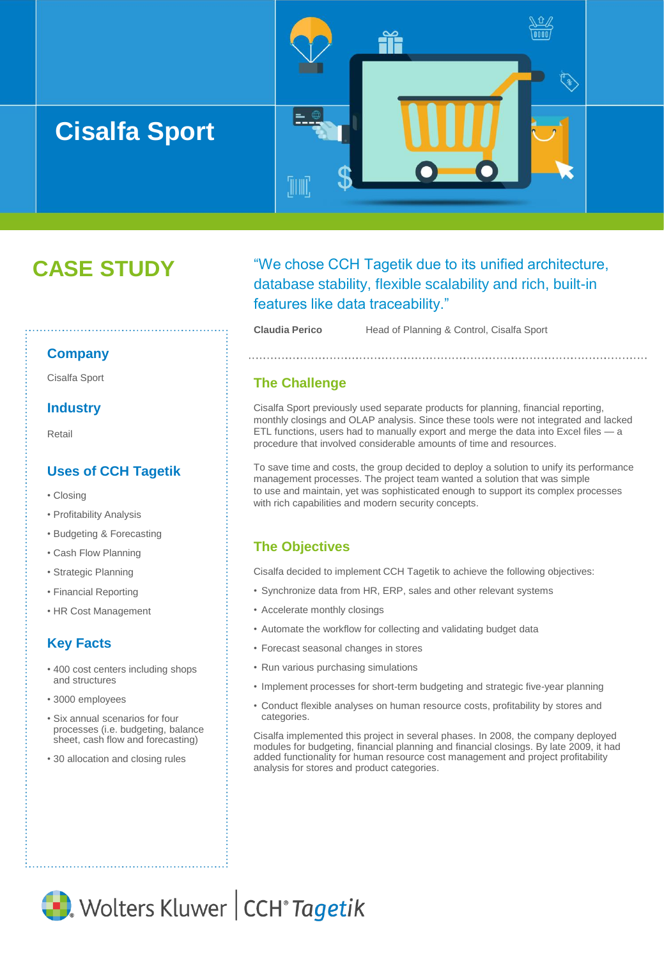

# **CASE STUDY**

# "We chose CCH Tagetik due to its unified architecture, database stability, flexible scalability and rich, built-in features like data traceability."

**Claudia Perico** Head of Planning & Control, Cisalfa Sport

#### **Company**

Cisalfa Sport

## **Industry**

Retail

# **Uses of CCH Tagetik**

- Closing
- Profitability Analysis
- Budgeting & Forecasting
- Cash Flow Planning
- Strategic Planning
- Financial Reporting
- HR Cost Management

# **Key Facts**

- 400 cost centers including shops and structures
- 3000 employees
- Six annual scenarios for four processes (i.e. budgeting, balance sheet, cash flow and forecasting)
- 30 allocation and closing rules

# **The Challenge**

Cisalfa Sport previously used separate products for planning, financial reporting, monthly closings and OLAP analysis. Since these tools were not integrated and lacked ETL functions, users had to manually export and merge the data into Excel files — a procedure that involved considerable amounts of time and resources.

To save time and costs, the group decided to deploy a solution to unify its performance management processes. The project team wanted a solution that was simple to use and maintain, yet was sophisticated enough to support its complex processes with rich capabilities and modern security concepts.

# **The Objectives**

Cisalfa decided to implement CCH Tagetik to achieve the following objectives:

- Synchronize data from HR, ERP, sales and other relevant systems
- Accelerate monthly closings
- Automate the workflow for collecting and validating budget data
- Forecast seasonal changes in stores
- Run various purchasing simulations
- Implement processes for short-term budgeting and strategic five-year planning
- Conduct flexible analyses on human resource costs, profitability by stores and categories.

Cisalfa implemented this project in several phases. In 2008, the company deployed modules for budgeting, financial planning and financial closings. By late 2009, it had added functionality for human resource cost management and project profitability analysis for stores and product categories.